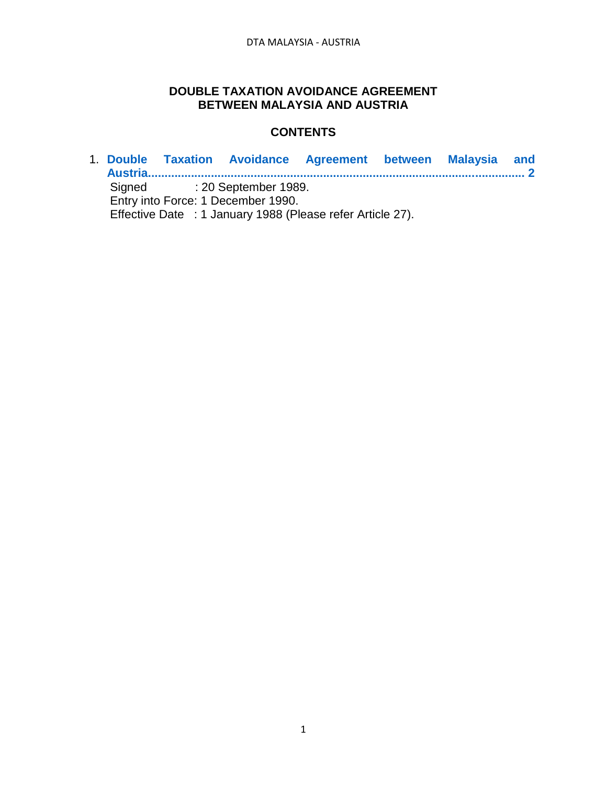## **DOUBLE TAXATION AVOIDANCE AGREEMENT BETWEEN MALAYSIA AND AUSTRIA**

### **CONTENTS**

1. **[Double Taxation Avoidance Agreement between Malaysia and](#page-1-0)  [Austria..................................................................................................................](#page-1-0) 2** Signed : 20 September 1989. Entry into Force: 1 December 1990. Effective Date : 1 January 1988 (Please refer Article 27).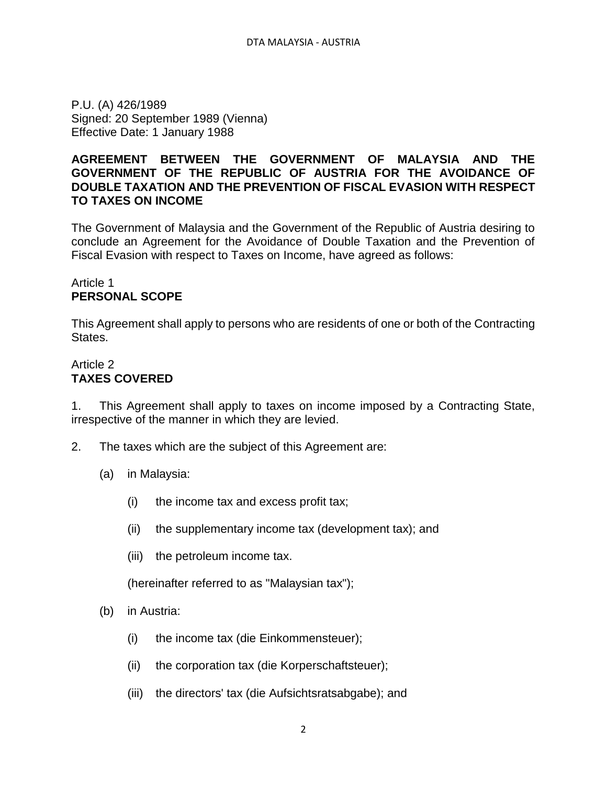<span id="page-1-0"></span>P.U. (A) 426/1989 Signed: 20 September 1989 (Vienna) Effective Date: 1 January 1988

#### **AGREEMENT BETWEEN THE GOVERNMENT OF MALAYSIA AND THE GOVERNMENT OF THE REPUBLIC OF AUSTRIA FOR THE AVOIDANCE OF DOUBLE TAXATION AND THE PREVENTION OF FISCAL EVASION WITH RESPECT TO TAXES ON INCOME**

The Government of Malaysia and the Government of the Republic of Austria desiring to conclude an Agreement for the Avoidance of Double Taxation and the Prevention of Fiscal Evasion with respect to Taxes on Income, have agreed as follows:

#### Article 1 **PERSONAL SCOPE**

This Agreement shall apply to persons who are residents of one or both of the Contracting States.

## Article 2 **TAXES COVERED**

1. This Agreement shall apply to taxes on income imposed by a Contracting State, irrespective of the manner in which they are levied.

- 2. The taxes which are the subject of this Agreement are:
	- (a) in Malaysia:
		- (i) the income tax and excess profit tax;
		- (ii) the supplementary income tax (development tax); and
		- (iii) the petroleum income tax.

(hereinafter referred to as "Malaysian tax");

- (b) in Austria:
	- (i) the income tax (die Einkommensteuer);
	- (ii) the corporation tax (die Korperschaftsteuer);
	- (iii) the directors' tax (die Aufsichtsratsabgabe); and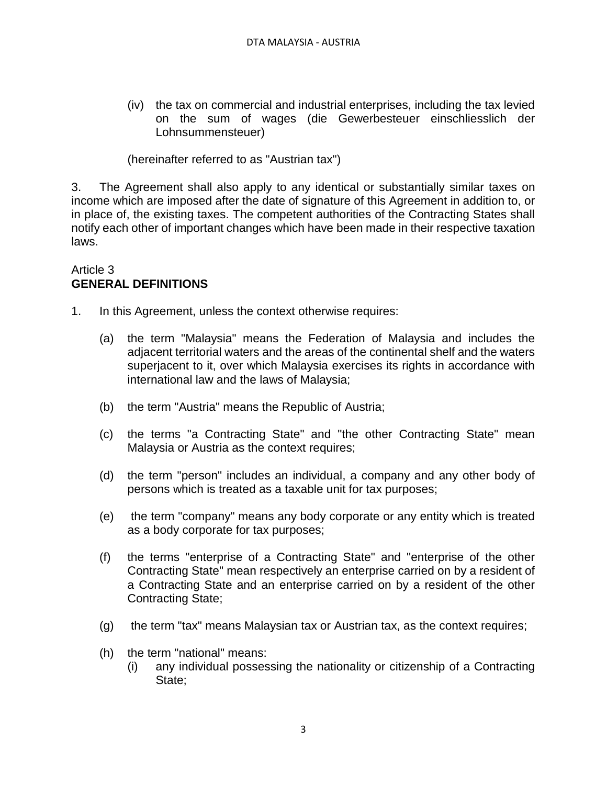(iv) the tax on commercial and industrial enterprises, including the tax levied on the sum of wages (die Gewerbesteuer einschliesslich der Lohnsummensteuer)

(hereinafter referred to as "Austrian tax")

3. The Agreement shall also apply to any identical or substantially similar taxes on income which are imposed after the date of signature of this Agreement in addition to, or in place of, the existing taxes. The competent authorities of the Contracting States shall notify each other of important changes which have been made in their respective taxation laws.

#### Article 3 **GENERAL DEFINITIONS**

- 1. In this Agreement, unless the context otherwise requires:
	- (a) the term "Malaysia" means the Federation of Malaysia and includes the adjacent territorial waters and the areas of the continental shelf and the waters superjacent to it, over which Malaysia exercises its rights in accordance with international law and the laws of Malaysia;
	- (b) the term "Austria" means the Republic of Austria;
	- (c) the terms "a Contracting State" and "the other Contracting State" mean Malaysia or Austria as the context requires;
	- (d) the term "person" includes an individual, a company and any other body of persons which is treated as a taxable unit for tax purposes;
	- (e) the term "company" means any body corporate or any entity which is treated as a body corporate for tax purposes;
	- (f) the terms "enterprise of a Contracting State" and "enterprise of the other Contracting State" mean respectively an enterprise carried on by a resident of a Contracting State and an enterprise carried on by a resident of the other Contracting State;
	- (g) the term "tax" means Malaysian tax or Austrian tax, as the context requires;
	- (h) the term "national" means:
		- (i) any individual possessing the nationality or citizenship of a Contracting State;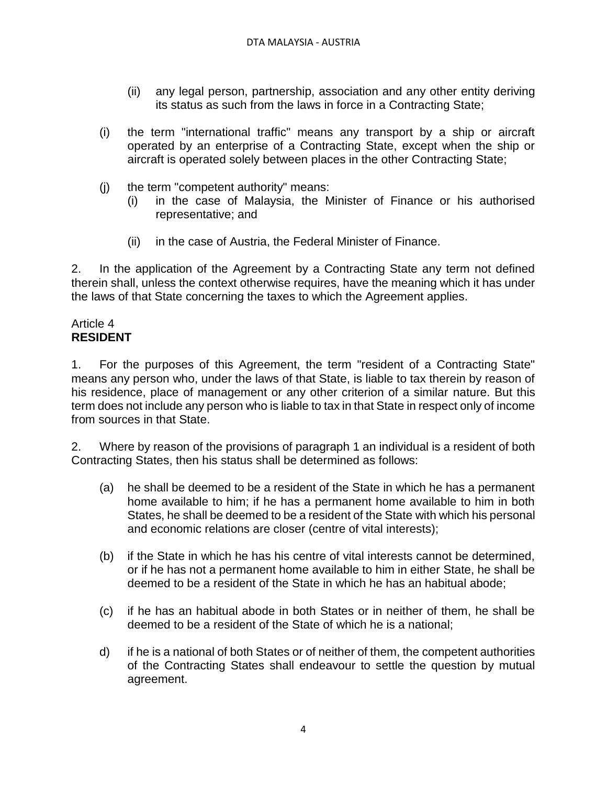- (ii) any legal person, partnership, association and any other entity deriving its status as such from the laws in force in a Contracting State;
- (i) the term "international traffic" means any transport by a ship or aircraft operated by an enterprise of a Contracting State, except when the ship or aircraft is operated solely between places in the other Contracting State;
- (j) the term "competent authority" means:
	- (i) in the case of Malaysia, the Minister of Finance or his authorised representative; and
	- (ii) in the case of Austria, the Federal Minister of Finance.

2. In the application of the Agreement by a Contracting State any term not defined therein shall, unless the context otherwise requires, have the meaning which it has under the laws of that State concerning the taxes to which the Agreement applies.

#### Article 4 **RESIDENT**

1. For the purposes of this Agreement, the term "resident of a Contracting State" means any person who, under the laws of that State, is liable to tax therein by reason of his residence, place of management or any other criterion of a similar nature. But this term does not include any person who is liable to tax in that State in respect only of income from sources in that State.

2. Where by reason of the provisions of paragraph 1 an individual is a resident of both Contracting States, then his status shall be determined as follows:

- (a) he shall be deemed to be a resident of the State in which he has a permanent home available to him; if he has a permanent home available to him in both States, he shall be deemed to be a resident of the State with which his personal and economic relations are closer (centre of vital interests);
- (b) if the State in which he has his centre of vital interests cannot be determined, or if he has not a permanent home available to him in either State, he shall be deemed to be a resident of the State in which he has an habitual abode;
- (c) if he has an habitual abode in both States or in neither of them, he shall be deemed to be a resident of the State of which he is a national;
- d) if he is a national of both States or of neither of them, the competent authorities of the Contracting States shall endeavour to settle the question by mutual agreement.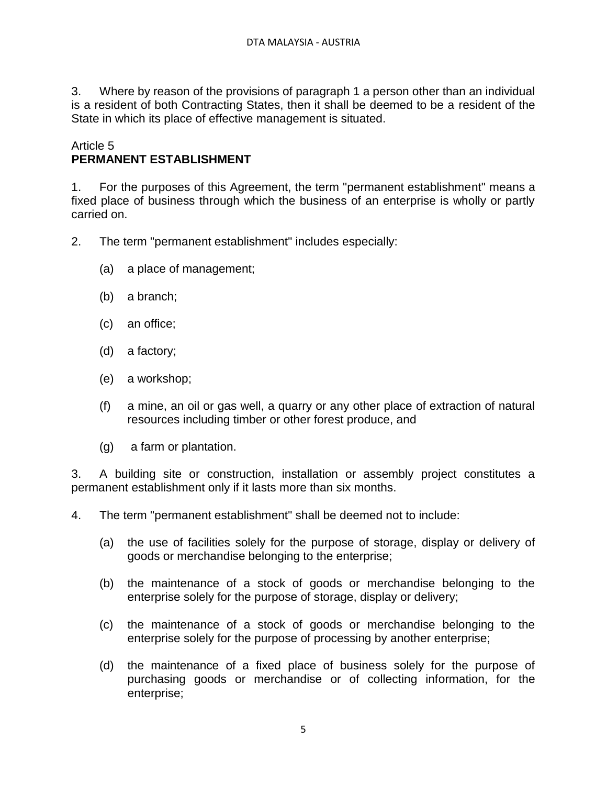3. Where by reason of the provisions of paragraph 1 a person other than an individual is a resident of both Contracting States, then it shall be deemed to be a resident of the State in which its place of effective management is situated.

#### Article 5 **PERMANENT ESTABLISHMENT**

1. For the purposes of this Agreement, the term "permanent establishment" means a fixed place of business through which the business of an enterprise is wholly or partly carried on.

- 2. The term "permanent establishment" includes especially:
	- (a) a place of management;
	- (b) a branch;
	- (c) an office;
	- (d) a factory;
	- (e) a workshop;
	- (f) a mine, an oil or gas well, a quarry or any other place of extraction of natural resources including timber or other forest produce, and
	- (g) a farm or plantation.

3. A building site or construction, installation or assembly project constitutes a permanent establishment only if it lasts more than six months.

4. The term "permanent establishment" shall be deemed not to include:

- (a) the use of facilities solely for the purpose of storage, display or delivery of goods or merchandise belonging to the enterprise;
- (b) the maintenance of a stock of goods or merchandise belonging to the enterprise solely for the purpose of storage, display or delivery;
- (c) the maintenance of a stock of goods or merchandise belonging to the enterprise solely for the purpose of processing by another enterprise;
- (d) the maintenance of a fixed place of business solely for the purpose of purchasing goods or merchandise or of collecting information, for the enterprise;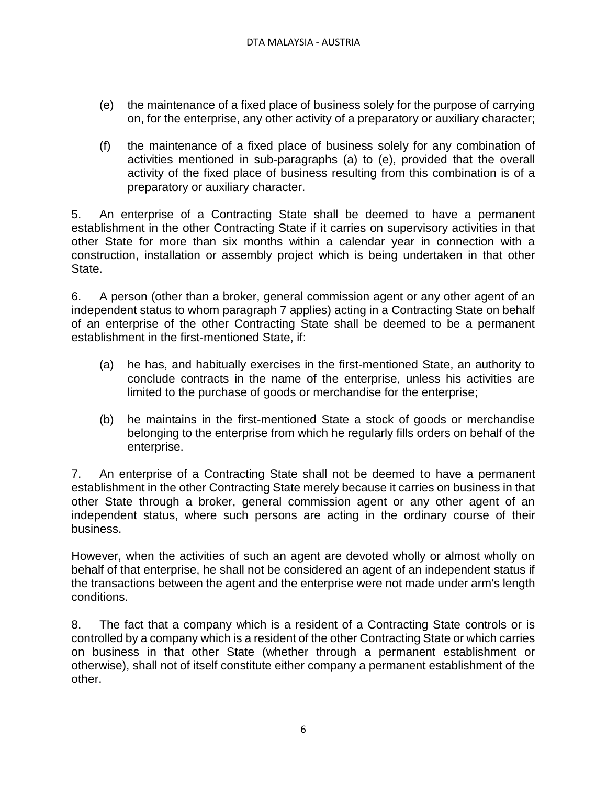- (e) the maintenance of a fixed place of business solely for the purpose of carrying on, for the enterprise, any other activity of a preparatory or auxiliary character;
- (f) the maintenance of a fixed place of business solely for any combination of activities mentioned in sub-paragraphs (a) to (e), provided that the overall activity of the fixed place of business resulting from this combination is of a preparatory or auxiliary character.

5. An enterprise of a Contracting State shall be deemed to have a permanent establishment in the other Contracting State if it carries on supervisory activities in that other State for more than six months within a calendar year in connection with a construction, installation or assembly project which is being undertaken in that other State.

6. A person (other than a broker, general commission agent or any other agent of an independent status to whom paragraph 7 applies) acting in a Contracting State on behalf of an enterprise of the other Contracting State shall be deemed to be a permanent establishment in the first-mentioned State, if:

- (a) he has, and habitually exercises in the first-mentioned State, an authority to conclude contracts in the name of the enterprise, unless his activities are limited to the purchase of goods or merchandise for the enterprise;
- (b) he maintains in the first-mentioned State a stock of goods or merchandise belonging to the enterprise from which he regularly fills orders on behalf of the enterprise.

7. An enterprise of a Contracting State shall not be deemed to have a permanent establishment in the other Contracting State merely because it carries on business in that other State through a broker, general commission agent or any other agent of an independent status, where such persons are acting in the ordinary course of their business.

However, when the activities of such an agent are devoted wholly or almost wholly on behalf of that enterprise, he shall not be considered an agent of an independent status if the transactions between the agent and the enterprise were not made under arm's length conditions.

8. The fact that a company which is a resident of a Contracting State controls or is controlled by a company which is a resident of the other Contracting State or which carries on business in that other State (whether through a permanent establishment or otherwise), shall not of itself constitute either company a permanent establishment of the other.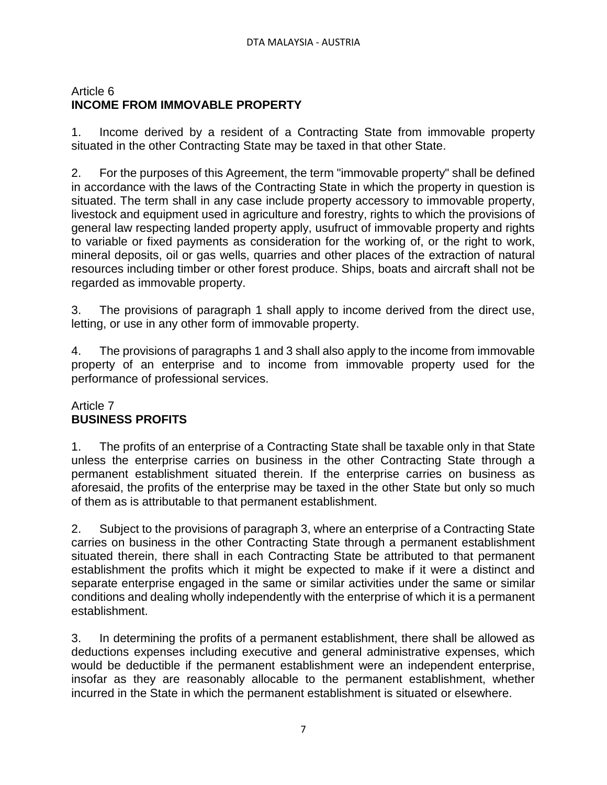# Article 6 **INCOME FROM IMMOVABLE PROPERTY**

1. Income derived by a resident of a Contracting State from immovable property situated in the other Contracting State may be taxed in that other State.

2. For the purposes of this Agreement, the term "immovable property" shall be defined in accordance with the laws of the Contracting State in which the property in question is situated. The term shall in any case include property accessory to immovable property, livestock and equipment used in agriculture and forestry, rights to which the provisions of general law respecting landed property apply, usufruct of immovable property and rights to variable or fixed payments as consideration for the working of, or the right to work, mineral deposits, oil or gas wells, quarries and other places of the extraction of natural resources including timber or other forest produce. Ships, boats and aircraft shall not be regarded as immovable property.

3. The provisions of paragraph 1 shall apply to income derived from the direct use, letting, or use in any other form of immovable property.

4. The provisions of paragraphs 1 and 3 shall also apply to the income from immovable property of an enterprise and to income from immovable property used for the performance of professional services.

### Article 7 **BUSINESS PROFITS**

1. The profits of an enterprise of a Contracting State shall be taxable only in that State unless the enterprise carries on business in the other Contracting State through a permanent establishment situated therein. If the enterprise carries on business as aforesaid, the profits of the enterprise may be taxed in the other State but only so much of them as is attributable to that permanent establishment.

2. Subject to the provisions of paragraph 3, where an enterprise of a Contracting State carries on business in the other Contracting State through a permanent establishment situated therein, there shall in each Contracting State be attributed to that permanent establishment the profits which it might be expected to make if it were a distinct and separate enterprise engaged in the same or similar activities under the same or similar conditions and dealing wholly independently with the enterprise of which it is a permanent establishment.

3. In determining the profits of a permanent establishment, there shall be allowed as deductions expenses including executive and general administrative expenses, which would be deductible if the permanent establishment were an independent enterprise, insofar as they are reasonably allocable to the permanent establishment, whether incurred in the State in which the permanent establishment is situated or elsewhere.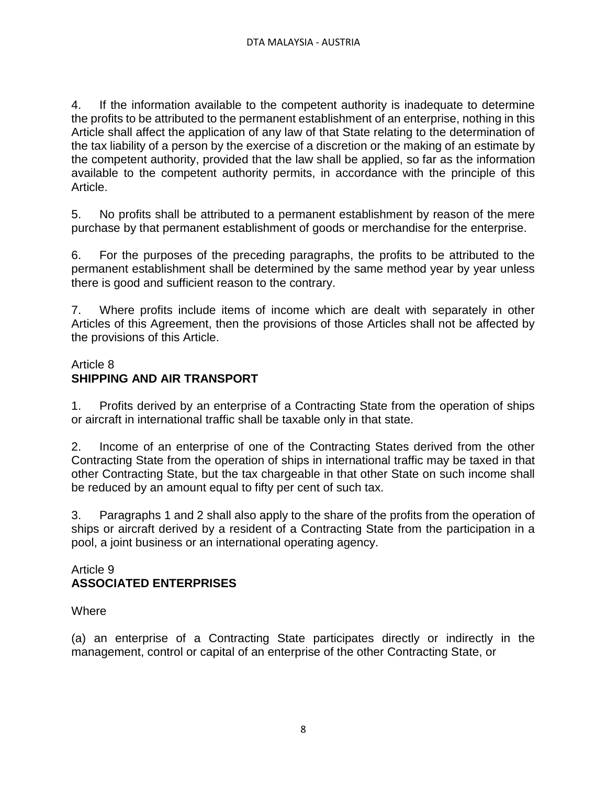4. If the information available to the competent authority is inadequate to determine the profits to be attributed to the permanent establishment of an enterprise, nothing in this Article shall affect the application of any law of that State relating to the determination of the tax liability of a person by the exercise of a discretion or the making of an estimate by the competent authority, provided that the law shall be applied, so far as the information available to the competent authority permits, in accordance with the principle of this Article.

5. No profits shall be attributed to a permanent establishment by reason of the mere purchase by that permanent establishment of goods or merchandise for the enterprise.

6. For the purposes of the preceding paragraphs, the profits to be attributed to the permanent establishment shall be determined by the same method year by year unless there is good and sufficient reason to the contrary.

7. Where profits include items of income which are dealt with separately in other Articles of this Agreement, then the provisions of those Articles shall not be affected by the provisions of this Article.

## Article 8 **SHIPPING AND AIR TRANSPORT**

1. Profits derived by an enterprise of a Contracting State from the operation of ships or aircraft in international traffic shall be taxable only in that state.

2. Income of an enterprise of one of the Contracting States derived from the other Contracting State from the operation of ships in international traffic may be taxed in that other Contracting State, but the tax chargeable in that other State on such income shall be reduced by an amount equal to fifty per cent of such tax.

3. Paragraphs 1 and 2 shall also apply to the share of the profits from the operation of ships or aircraft derived by a resident of a Contracting State from the participation in a pool, a joint business or an international operating agency.

## Article 9 **ASSOCIATED ENTERPRISES**

## **Where**

(a) an enterprise of a Contracting State participates directly or indirectly in the management, control or capital of an enterprise of the other Contracting State, or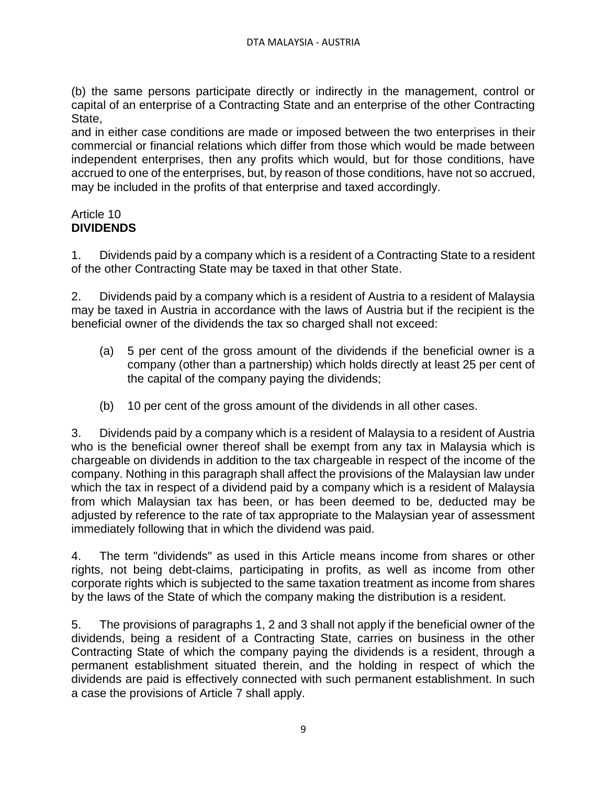(b) the same persons participate directly or indirectly in the management, control or capital of an enterprise of a Contracting State and an enterprise of the other Contracting State,

and in either case conditions are made or imposed between the two enterprises in their commercial or financial relations which differ from those which would be made between independent enterprises, then any profits which would, but for those conditions, have accrued to one of the enterprises, but, by reason of those conditions, have not so accrued, may be included in the profits of that enterprise and taxed accordingly.

## Article 10 **DIVIDENDS**

1. Dividends paid by a company which is a resident of a Contracting State to a resident of the other Contracting State may be taxed in that other State.

2. Dividends paid by a company which is a resident of Austria to a resident of Malaysia may be taxed in Austria in accordance with the laws of Austria but if the recipient is the beneficial owner of the dividends the tax so charged shall not exceed:

- (a) 5 per cent of the gross amount of the dividends if the beneficial owner is a company (other than a partnership) which holds directly at least 25 per cent of the capital of the company paying the dividends;
- (b) 10 per cent of the gross amount of the dividends in all other cases.

3. Dividends paid by a company which is a resident of Malaysia to a resident of Austria who is the beneficial owner thereof shall be exempt from any tax in Malaysia which is chargeable on dividends in addition to the tax chargeable in respect of the income of the company. Nothing in this paragraph shall affect the provisions of the Malaysian law under which the tax in respect of a dividend paid by a company which is a resident of Malaysia from which Malaysian tax has been, or has been deemed to be, deducted may be adjusted by reference to the rate of tax appropriate to the Malaysian year of assessment immediately following that in which the dividend was paid.

4. The term "dividends" as used in this Article means income from shares or other rights, not being debt-claims, participating in profits, as well as income from other corporate rights which is subjected to the same taxation treatment as income from shares by the laws of the State of which the company making the distribution is a resident.

5. The provisions of paragraphs 1, 2 and 3 shall not apply if the beneficial owner of the dividends, being a resident of a Contracting State, carries on business in the other Contracting State of which the company paying the dividends is a resident, through a permanent establishment situated therein, and the holding in respect of which the dividends are paid is effectively connected with such permanent establishment. In such a case the provisions of Article 7 shall apply.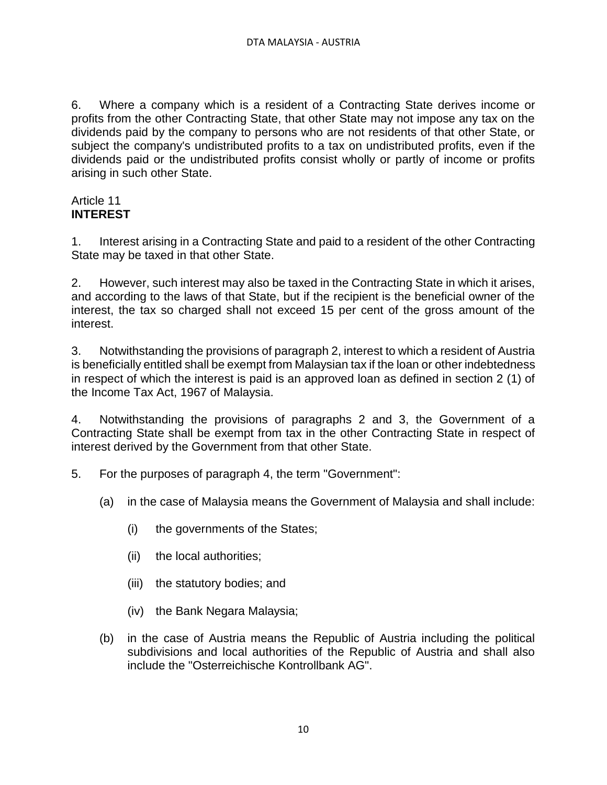6. Where a company which is a resident of a Contracting State derives income or profits from the other Contracting State, that other State may not impose any tax on the dividends paid by the company to persons who are not residents of that other State, or subject the company's undistributed profits to a tax on undistributed profits, even if the dividends paid or the undistributed profits consist wholly or partly of income or profits arising in such other State.

#### Article 11 **INTEREST**

1. Interest arising in a Contracting State and paid to a resident of the other Contracting State may be taxed in that other State.

2. However, such interest may also be taxed in the Contracting State in which it arises, and according to the laws of that State, but if the recipient is the beneficial owner of the interest, the tax so charged shall not exceed 15 per cent of the gross amount of the interest.

3. Notwithstanding the provisions of paragraph 2, interest to which a resident of Austria is beneficially entitled shall be exempt from Malaysian tax if the loan or other indebtedness in respect of which the interest is paid is an approved loan as defined in section 2 (1) of the Income Tax Act, 1967 of Malaysia.

4. Notwithstanding the provisions of paragraphs 2 and 3, the Government of a Contracting State shall be exempt from tax in the other Contracting State in respect of interest derived by the Government from that other State.

- 5. For the purposes of paragraph 4, the term "Government":
	- (a) in the case of Malaysia means the Government of Malaysia and shall include:
		- (i) the governments of the States;
		- (ii) the local authorities;
		- (iii) the statutory bodies; and
		- (iv) the Bank Negara Malaysia;
	- (b) in the case of Austria means the Republic of Austria including the political subdivisions and local authorities of the Republic of Austria and shall also include the "Osterreichische Kontrollbank AG".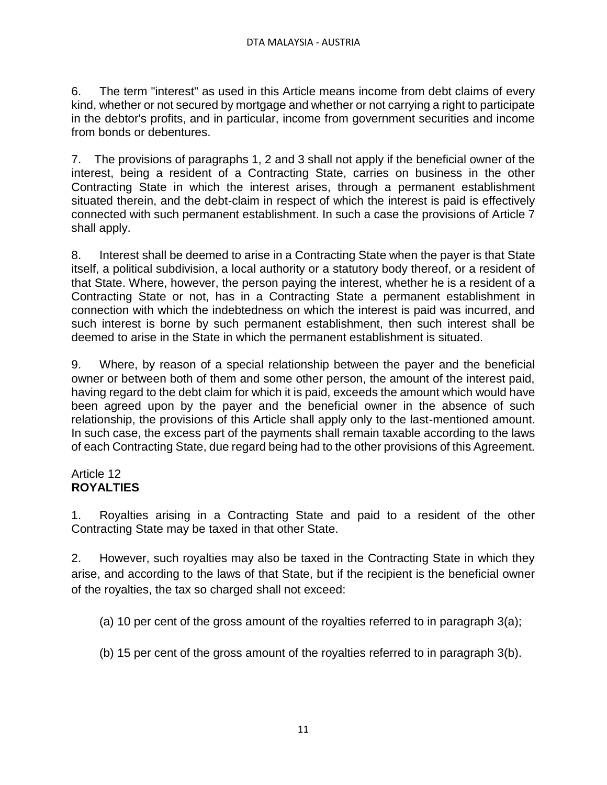6. The term "interest" as used in this Article means income from debt claims of every kind, whether or not secured by mortgage and whether or not carrying a right to participate in the debtor's profits, and in particular, income from government securities and income from bonds or debentures.

7. The provisions of paragraphs 1, 2 and 3 shall not apply if the beneficial owner of the interest, being a resident of a Contracting State, carries on business in the other Contracting State in which the interest arises, through a permanent establishment situated therein, and the debt-claim in respect of which the interest is paid is effectively connected with such permanent establishment. In such a case the provisions of Article 7 shall apply.

8. Interest shall be deemed to arise in a Contracting State when the payer is that State itself, a political subdivision, a local authority or a statutory body thereof, or a resident of that State. Where, however, the person paying the interest, whether he is a resident of a Contracting State or not, has in a Contracting State a permanent establishment in connection with which the indebtedness on which the interest is paid was incurred, and such interest is borne by such permanent establishment, then such interest shall be deemed to arise in the State in which the permanent establishment is situated.

9. Where, by reason of a special relationship between the payer and the beneficial owner or between both of them and some other person, the amount of the interest paid, having regard to the debt claim for which it is paid, exceeds the amount which would have been agreed upon by the payer and the beneficial owner in the absence of such relationship, the provisions of this Article shall apply only to the last-mentioned amount. In such case, the excess part of the payments shall remain taxable according to the laws of each Contracting State, due regard being had to the other provisions of this Agreement.

## Article 12 **ROYALTIES**

1. Royalties arising in a Contracting State and paid to a resident of the other Contracting State may be taxed in that other State.

2. However, such royalties may also be taxed in the Contracting State in which they arise, and according to the laws of that State, but if the recipient is the beneficial owner of the royalties, the tax so charged shall not exceed:

- (a) 10 per cent of the gross amount of the royalties referred to in paragraph 3(a);
- (b) 15 per cent of the gross amount of the royalties referred to in paragraph 3(b).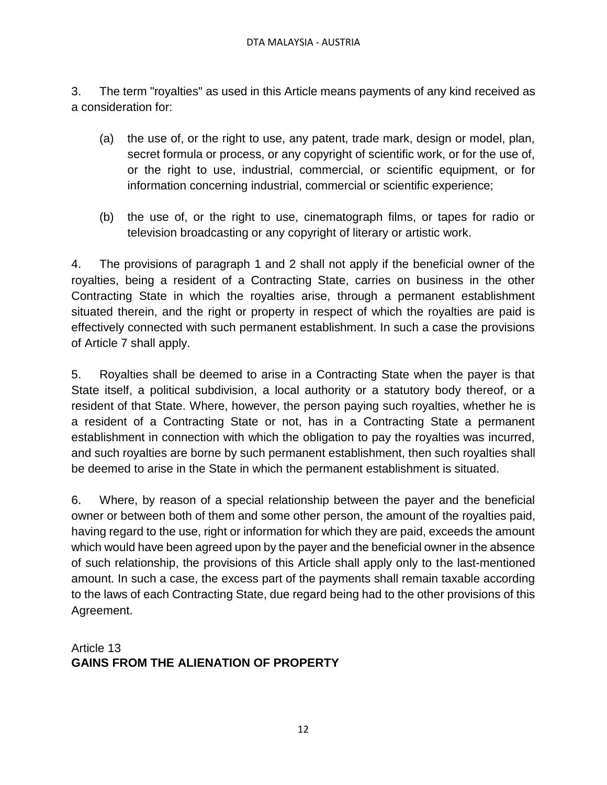3. The term "royalties" as used in this Article means payments of any kind received as a consideration for:

- (a) the use of, or the right to use, any patent, trade mark, design or model, plan, secret formula or process, or any copyright of scientific work, or for the use of, or the right to use, industrial, commercial, or scientific equipment, or for information concerning industrial, commercial or scientific experience;
- (b) the use of, or the right to use, cinematograph films, or tapes for radio or television broadcasting or any copyright of literary or artistic work.

4. The provisions of paragraph 1 and 2 shall not apply if the beneficial owner of the royalties, being a resident of a Contracting State, carries on business in the other Contracting State in which the royalties arise, through a permanent establishment situated therein, and the right or property in respect of which the royalties are paid is effectively connected with such permanent establishment. In such a case the provisions of Article 7 shall apply.

5. Royalties shall be deemed to arise in a Contracting State when the payer is that State itself, a political subdivision, a local authority or a statutory body thereof, or a resident of that State. Where, however, the person paying such royalties, whether he is a resident of a Contracting State or not, has in a Contracting State a permanent establishment in connection with which the obligation to pay the royalties was incurred, and such royalties are borne by such permanent establishment, then such royalties shall be deemed to arise in the State in which the permanent establishment is situated.

6. Where, by reason of a special relationship between the payer and the beneficial owner or between both of them and some other person, the amount of the royalties paid, having regard to the use, right or information for which they are paid, exceeds the amount which would have been agreed upon by the payer and the beneficial owner in the absence of such relationship, the provisions of this Article shall apply only to the last-mentioned amount. In such a case, the excess part of the payments shall remain taxable according to the laws of each Contracting State, due regard being had to the other provisions of this Agreement.

## Article 13 **GAINS FROM THE ALIENATION OF PROPERTY**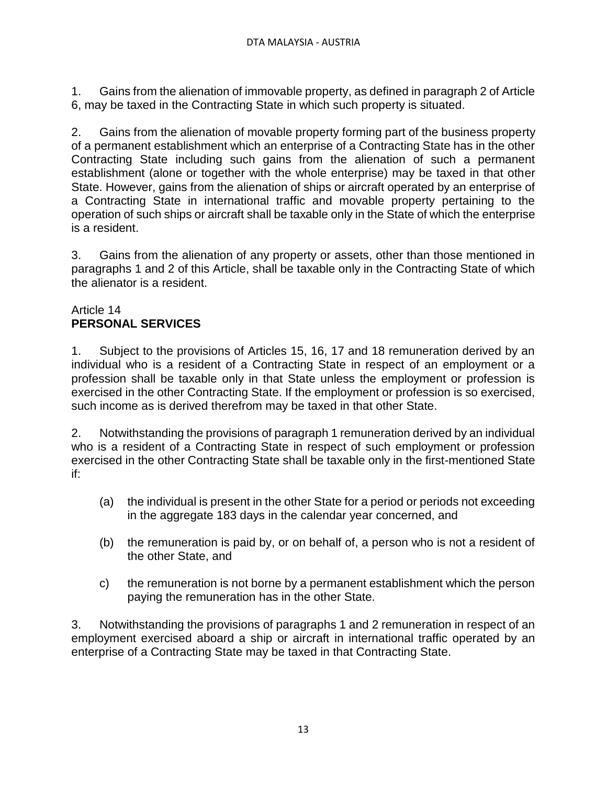1. Gains from the alienation of immovable property, as defined in paragraph 2 of Article 6, may be taxed in the Contracting State in which such property is situated.

2. Gains from the alienation of movable property forming part of the business property of a permanent establishment which an enterprise of a Contracting State has in the other Contracting State including such gains from the alienation of such a permanent establishment (alone or together with the whole enterprise) may be taxed in that other State. However, gains from the alienation of ships or aircraft operated by an enterprise of a Contracting State in international traffic and movable property pertaining to the operation of such ships or aircraft shall be taxable only in the State of which the enterprise is a resident.

3. Gains from the alienation of any property or assets, other than those mentioned in paragraphs 1 and 2 of this Article, shall be taxable only in the Contracting State of which the alienator is a resident.

## Article 14 **PERSONAL SERVICES**

1. Subject to the provisions of Articles 15, 16, 17 and 18 remuneration derived by an individual who is a resident of a Contracting State in respect of an employment or a profession shall be taxable only in that State unless the employment or profession is exercised in the other Contracting State. If the employment or profession is so exercised, such income as is derived therefrom may be taxed in that other State.

2. Notwithstanding the provisions of paragraph 1 remuneration derived by an individual who is a resident of a Contracting State in respect of such employment or profession exercised in the other Contracting State shall be taxable only in the first-mentioned State if:

- (a) the individual is present in the other State for a period or periods not exceeding in the aggregate 183 days in the calendar year concerned, and
- (b) the remuneration is paid by, or on behalf of, a person who is not a resident of the other State, and
- c) the remuneration is not borne by a permanent establishment which the person paying the remuneration has in the other State.

3. Notwithstanding the provisions of paragraphs 1 and 2 remuneration in respect of an employment exercised aboard a ship or aircraft in international traffic operated by an enterprise of a Contracting State may be taxed in that Contracting State.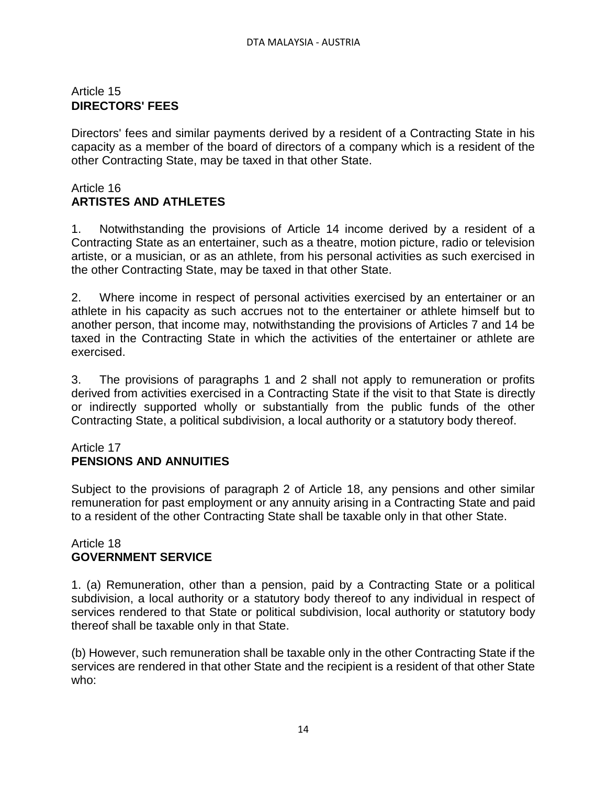## Article 15 **DIRECTORS' FEES**

Directors' fees and similar payments derived by a resident of a Contracting State in his capacity as a member of the board of directors of a company which is a resident of the other Contracting State, may be taxed in that other State.

#### Article 16 **ARTISTES AND ATHLETES**

1. Notwithstanding the provisions of Article 14 income derived by a resident of a Contracting State as an entertainer, such as a theatre, motion picture, radio or television artiste, or a musician, or as an athlete, from his personal activities as such exercised in the other Contracting State, may be taxed in that other State.

2. Where income in respect of personal activities exercised by an entertainer or an athlete in his capacity as such accrues not to the entertainer or athlete himself but to another person, that income may, notwithstanding the provisions of Articles 7 and 14 be taxed in the Contracting State in which the activities of the entertainer or athlete are exercised.

3. The provisions of paragraphs 1 and 2 shall not apply to remuneration or profits derived from activities exercised in a Contracting State if the visit to that State is directly or indirectly supported wholly or substantially from the public funds of the other Contracting State, a political subdivision, a local authority or a statutory body thereof.

### Article 17 **PENSIONS AND ANNUITIES**

Subject to the provisions of paragraph 2 of Article 18, any pensions and other similar remuneration for past employment or any annuity arising in a Contracting State and paid to a resident of the other Contracting State shall be taxable only in that other State.

### Article 18 **GOVERNMENT SERVICE**

1. (a) Remuneration, other than a pension, paid by a Contracting State or a political subdivision, a local authority or a statutory body thereof to any individual in respect of services rendered to that State or political subdivision, local authority or statutory body thereof shall be taxable only in that State.

(b) However, such remuneration shall be taxable only in the other Contracting State if the services are rendered in that other State and the recipient is a resident of that other State who: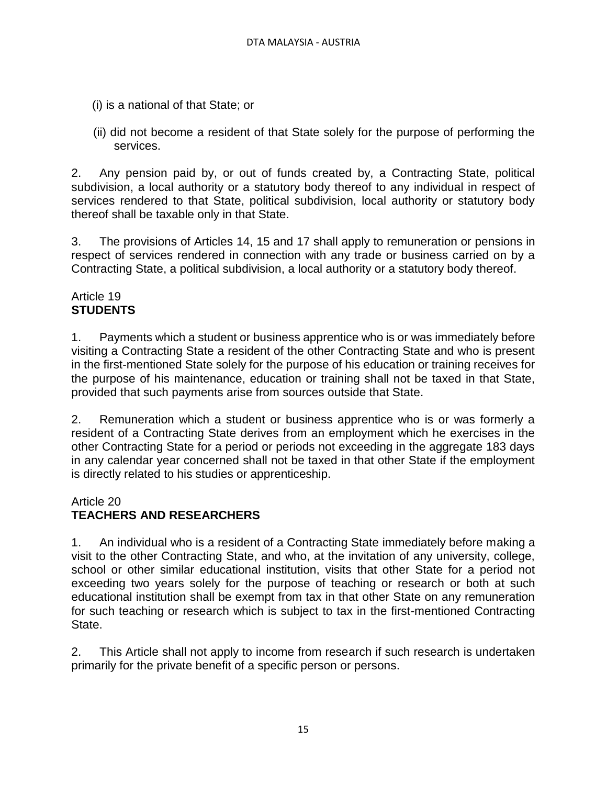- (i) is a national of that State; or
- (ii) did not become a resident of that State solely for the purpose of performing the services.

2. Any pension paid by, or out of funds created by, a Contracting State, political subdivision, a local authority or a statutory body thereof to any individual in respect of services rendered to that State, political subdivision, local authority or statutory body thereof shall be taxable only in that State.

3. The provisions of Articles 14, 15 and 17 shall apply to remuneration or pensions in respect of services rendered in connection with any trade or business carried on by a Contracting State, a political subdivision, a local authority or a statutory body thereof.

## Article 19 **STUDENTS**

1. Payments which a student or business apprentice who is or was immediately before visiting a Contracting State a resident of the other Contracting State and who is present in the first-mentioned State solely for the purpose of his education or training receives for the purpose of his maintenance, education or training shall not be taxed in that State, provided that such payments arise from sources outside that State.

2. Remuneration which a student or business apprentice who is or was formerly a resident of a Contracting State derives from an employment which he exercises in the other Contracting State for a period or periods not exceeding in the aggregate 183 days in any calendar year concerned shall not be taxed in that other State if the employment is directly related to his studies or apprenticeship.

## Article 20

# **TEACHERS AND RESEARCHERS**

1. An individual who is a resident of a Contracting State immediately before making a visit to the other Contracting State, and who, at the invitation of any university, college, school or other similar educational institution, visits that other State for a period not exceeding two years solely for the purpose of teaching or research or both at such educational institution shall be exempt from tax in that other State on any remuneration for such teaching or research which is subject to tax in the first-mentioned Contracting State.

2. This Article shall not apply to income from research if such research is undertaken primarily for the private benefit of a specific person or persons.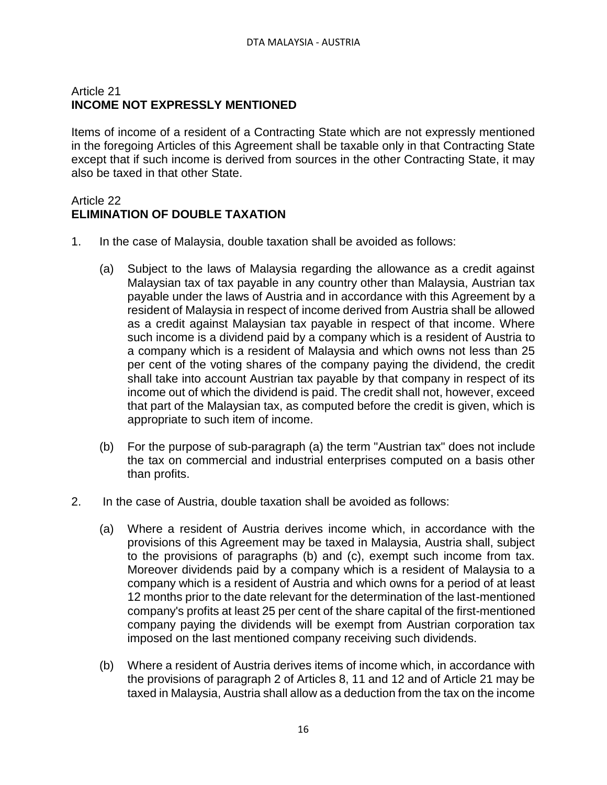## Article 21 **INCOME NOT EXPRESSLY MENTIONED**

Items of income of a resident of a Contracting State which are not expressly mentioned in the foregoing Articles of this Agreement shall be taxable only in that Contracting State except that if such income is derived from sources in the other Contracting State, it may also be taxed in that other State.

### Article 22 **ELIMINATION OF DOUBLE TAXATION**

- 1. In the case of Malaysia, double taxation shall be avoided as follows:
	- (a) Subject to the laws of Malaysia regarding the allowance as a credit against Malaysian tax of tax payable in any country other than Malaysia, Austrian tax payable under the laws of Austria and in accordance with this Agreement by a resident of Malaysia in respect of income derived from Austria shall be allowed as a credit against Malaysian tax payable in respect of that income. Where such income is a dividend paid by a company which is a resident of Austria to a company which is a resident of Malaysia and which owns not less than 25 per cent of the voting shares of the company paying the dividend, the credit shall take into account Austrian tax payable by that company in respect of its income out of which the dividend is paid. The credit shall not, however, exceed that part of the Malaysian tax, as computed before the credit is given, which is appropriate to such item of income.
	- (b) For the purpose of sub-paragraph (a) the term "Austrian tax" does not include the tax on commercial and industrial enterprises computed on a basis other than profits.
- 2. In the case of Austria, double taxation shall be avoided as follows:
	- (a) Where a resident of Austria derives income which, in accordance with the provisions of this Agreement may be taxed in Malaysia, Austria shall, subject to the provisions of paragraphs (b) and (c), exempt such income from tax. Moreover dividends paid by a company which is a resident of Malaysia to a company which is a resident of Austria and which owns for a period of at least 12 months prior to the date relevant for the determination of the last-mentioned company's profits at least 25 per cent of the share capital of the first-mentioned company paying the dividends will be exempt from Austrian corporation tax imposed on the last mentioned company receiving such dividends.
	- (b) Where a resident of Austria derives items of income which, in accordance with the provisions of paragraph 2 of Articles 8, 11 and 12 and of Article 21 may be taxed in Malaysia, Austria shall allow as a deduction from the tax on the income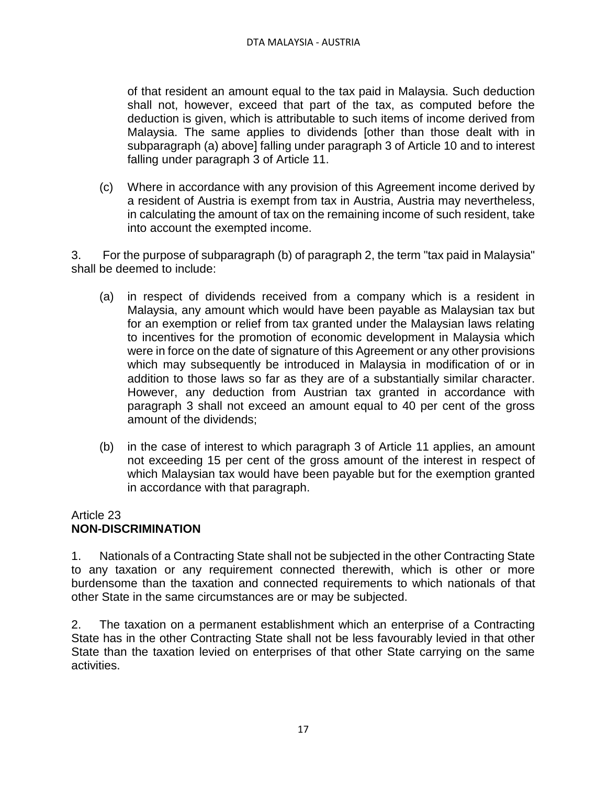of that resident an amount equal to the tax paid in Malaysia. Such deduction shall not, however, exceed that part of the tax, as computed before the deduction is given, which is attributable to such items of income derived from Malaysia. The same applies to dividends [other than those dealt with in subparagraph (a) above] falling under paragraph 3 of Article 10 and to interest falling under paragraph 3 of Article 11.

(c) Where in accordance with any provision of this Agreement income derived by a resident of Austria is exempt from tax in Austria, Austria may nevertheless, in calculating the amount of tax on the remaining income of such resident, take into account the exempted income.

3. For the purpose of subparagraph (b) of paragraph 2, the term "tax paid in Malaysia" shall be deemed to include:

- (a) in respect of dividends received from a company which is a resident in Malaysia, any amount which would have been payable as Malaysian tax but for an exemption or relief from tax granted under the Malaysian laws relating to incentives for the promotion of economic development in Malaysia which were in force on the date of signature of this Agreement or any other provisions which may subsequently be introduced in Malaysia in modification of or in addition to those laws so far as they are of a substantially similar character. However, any deduction from Austrian tax granted in accordance with paragraph 3 shall not exceed an amount equal to 40 per cent of the gross amount of the dividends;
- (b) in the case of interest to which paragraph 3 of Article 11 applies, an amount not exceeding 15 per cent of the gross amount of the interest in respect of which Malaysian tax would have been payable but for the exemption granted in accordance with that paragraph.

## Article 23 **NON-DISCRIMINATION**

1. Nationals of a Contracting State shall not be subjected in the other Contracting State to any taxation or any requirement connected therewith, which is other or more burdensome than the taxation and connected requirements to which nationals of that other State in the same circumstances are or may be subjected.

2. The taxation on a permanent establishment which an enterprise of a Contracting State has in the other Contracting State shall not be less favourably levied in that other State than the taxation levied on enterprises of that other State carrying on the same activities.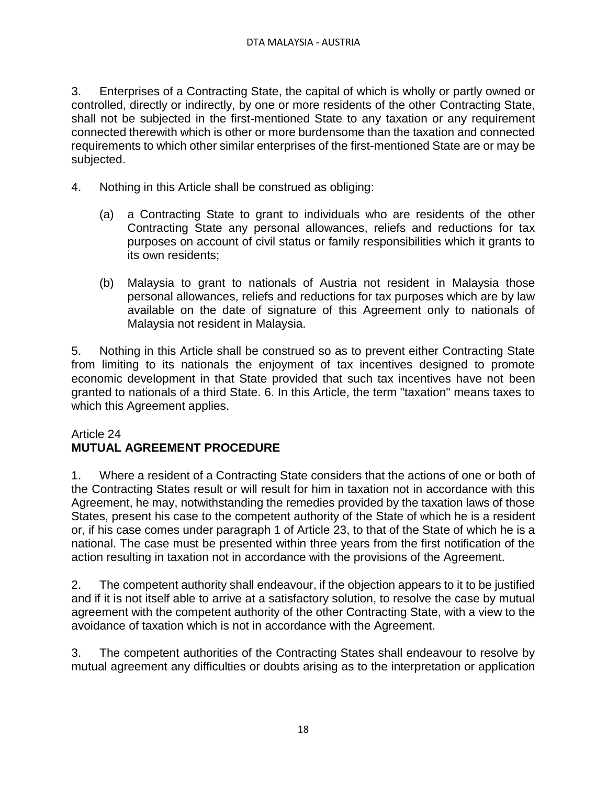3. Enterprises of a Contracting State, the capital of which is wholly or partly owned or controlled, directly or indirectly, by one or more residents of the other Contracting State, shall not be subjected in the first-mentioned State to any taxation or any requirement connected therewith which is other or more burdensome than the taxation and connected requirements to which other similar enterprises of the first-mentioned State are or may be subjected.

- 4. Nothing in this Article shall be construed as obliging:
	- (a) a Contracting State to grant to individuals who are residents of the other Contracting State any personal allowances, reliefs and reductions for tax purposes on account of civil status or family responsibilities which it grants to its own residents;
	- (b) Malaysia to grant to nationals of Austria not resident in Malaysia those personal allowances, reliefs and reductions for tax purposes which are by law available on the date of signature of this Agreement only to nationals of Malaysia not resident in Malaysia.

5. Nothing in this Article shall be construed so as to prevent either Contracting State from limiting to its nationals the enjoyment of tax incentives designed to promote economic development in that State provided that such tax incentives have not been granted to nationals of a third State. 6. In this Article, the term "taxation" means taxes to which this Agreement applies.

## Article 24 **MUTUAL AGREEMENT PROCEDURE**

1. Where a resident of a Contracting State considers that the actions of one or both of the Contracting States result or will result for him in taxation not in accordance with this Agreement, he may, notwithstanding the remedies provided by the taxation laws of those States, present his case to the competent authority of the State of which he is a resident or, if his case comes under paragraph 1 of Article 23, to that of the State of which he is a national. The case must be presented within three years from the first notification of the action resulting in taxation not in accordance with the provisions of the Agreement.

2. The competent authority shall endeavour, if the objection appears to it to be justified and if it is not itself able to arrive at a satisfactory solution, to resolve the case by mutual agreement with the competent authority of the other Contracting State, with a view to the avoidance of taxation which is not in accordance with the Agreement.

3. The competent authorities of the Contracting States shall endeavour to resolve by mutual agreement any difficulties or doubts arising as to the interpretation or application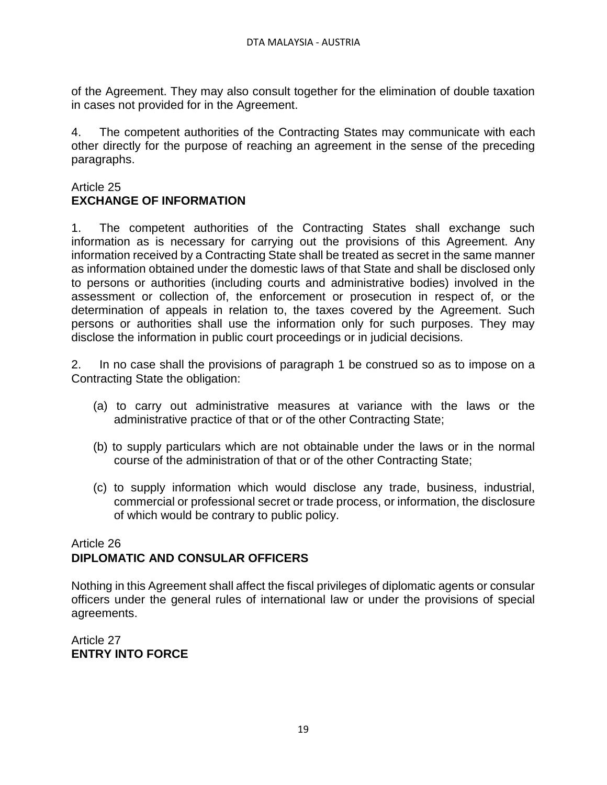of the Agreement. They may also consult together for the elimination of double taxation in cases not provided for in the Agreement.

4. The competent authorities of the Contracting States may communicate with each other directly for the purpose of reaching an agreement in the sense of the preceding paragraphs.

### Article 25 **EXCHANGE OF INFORMATION**

1. The competent authorities of the Contracting States shall exchange such information as is necessary for carrying out the provisions of this Agreement. Any information received by a Contracting State shall be treated as secret in the same manner as information obtained under the domestic laws of that State and shall be disclosed only to persons or authorities (including courts and administrative bodies) involved in the assessment or collection of, the enforcement or prosecution in respect of, or the determination of appeals in relation to, the taxes covered by the Agreement. Such persons or authorities shall use the information only for such purposes. They may disclose the information in public court proceedings or in judicial decisions.

2. In no case shall the provisions of paragraph 1 be construed so as to impose on a Contracting State the obligation:

- (a) to carry out administrative measures at variance with the laws or the administrative practice of that or of the other Contracting State;
- (b) to supply particulars which are not obtainable under the laws or in the normal course of the administration of that or of the other Contracting State;
- (c) to supply information which would disclose any trade, business, industrial, commercial or professional secret or trade process, or information, the disclosure of which would be contrary to public policy.

## Article 26 **DIPLOMATIC AND CONSULAR OFFICERS**

Nothing in this Agreement shall affect the fiscal privileges of diplomatic agents or consular officers under the general rules of international law or under the provisions of special agreements.

Article 27 **ENTRY INTO FORCE**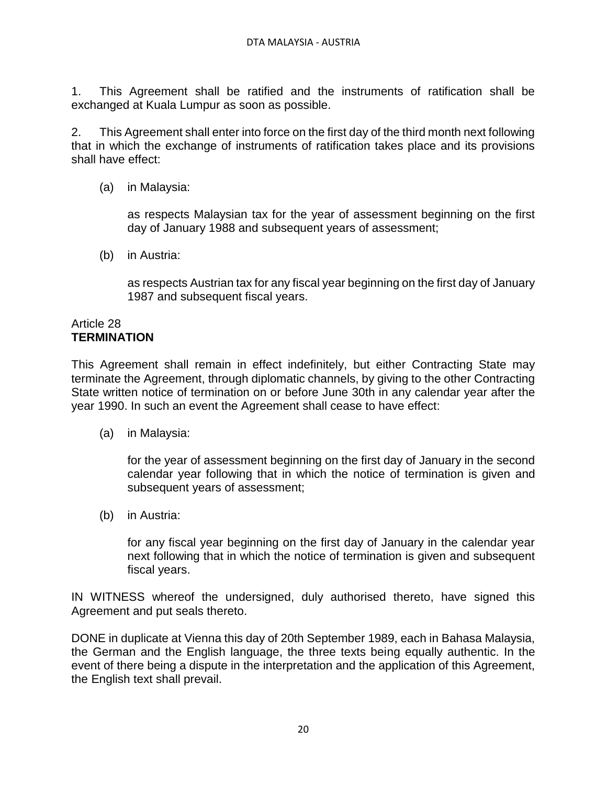1. This Agreement shall be ratified and the instruments of ratification shall be exchanged at Kuala Lumpur as soon as possible.

2. This Agreement shall enter into force on the first day of the third month next following that in which the exchange of instruments of ratification takes place and its provisions shall have effect:

(a) in Malaysia:

as respects Malaysian tax for the year of assessment beginning on the first day of January 1988 and subsequent years of assessment;

(b) in Austria:

as respects Austrian tax for any fiscal year beginning on the first day of January 1987 and subsequent fiscal years.

#### Article 28 **TERMINATION**

This Agreement shall remain in effect indefinitely, but either Contracting State may terminate the Agreement, through diplomatic channels, by giving to the other Contracting State written notice of termination on or before June 30th in any calendar year after the year 1990. In such an event the Agreement shall cease to have effect:

(a) in Malaysia:

for the year of assessment beginning on the first day of January in the second calendar year following that in which the notice of termination is given and subsequent years of assessment;

(b) in Austria:

for any fiscal year beginning on the first day of January in the calendar year next following that in which the notice of termination is given and subsequent fiscal years.

IN WITNESS whereof the undersigned, duly authorised thereto, have signed this Agreement and put seals thereto.

DONE in duplicate at Vienna this day of 20th September 1989, each in Bahasa Malaysia, the German and the English language, the three texts being equally authentic. In the event of there being a dispute in the interpretation and the application of this Agreement, the English text shall prevail.